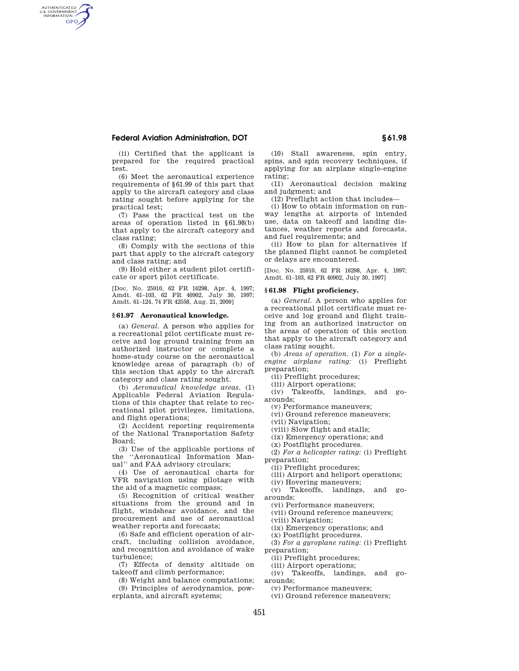# **Federal Aviation Administration, DOT § 61.98**

AUTHENTICATED<br>U.S. GOVERNMENT<br>INFORMATION **GPO** 

> (ii) Certified that the applicant is prepared for the required practical test.

> (6) Meet the aeronautical experience requirements of §61.99 of this part that apply to the aircraft category and class rating sought before applying for the practical test;

> (7) Pass the practical test on the areas of operation listed in §61.98(b) that apply to the aircraft category and class rating;

> (8) Comply with the sections of this part that apply to the aircraft category and class rating; and

> (9) Hold either a student pilot certificate or sport pilot certificate.

> [Doc. No. 25910, 62 FR 16298, Apr. 4, 1997; Amdt. 61–103, 62 FR 40902, July 30, 1997; Amdt. 61–124, 74 FR 42558, Aug. 21, 2009]

#### **§ 61.97 Aeronautical knowledge.**

(a) *General.* A person who applies for a recreational pilot certificate must receive and log ground training from an authorized instructor or complete a home-study course on the aeronautical knowledge areas of paragraph (b) of this section that apply to the aircraft category and class rating sought.

(b) *Aeronautical knowledge areas.* (1) Applicable Federal Aviation Regulations of this chapter that relate to recreational pilot privileges, limitations, and flight operations;

(2) Accident reporting requirements of the National Transportation Safety Board;

(3) Use of the applicable portions of the ''Aeronautical Information Manual'' and FAA advisory circulars;

(4) Use of aeronautical charts for VFR navigation using pilotage with the aid of a magnetic compass;

(5) Recognition of critical weather situations from the ground and in flight, windshear avoidance, and the procurement and use of aeronautical weather reports and forecasts;

(6) Safe and efficient operation of aircraft, including collision avoidance, and recognition and avoidance of wake turbulence;

(7) Effects of density altitude on takeoff and climb performance;

(8) Weight and balance computations; (9) Principles of aerodynamics, pow-

erplants, and aircraft systems;

(10) Stall awareness, spin entry, spins, and spin recovery techniques, if applying for an airplane single-engine rating;

(11) Aeronautical decision making and judgment; and

(12) Preflight action that includes—

(i) How to obtain information on runway lengths at airports of intended use, data on takeoff and landing distances, weather reports and forecasts, and fuel requirements; and

(ii) How to plan for alternatives if the planned flight cannot be completed or delays are encountered.

[Doc. No. 25910, 62 FR 16298, Apr. 4, 1997; Amdt. 61–103, 62 FR 40902, July 30, 1997]

#### **§ 61.98 Flight proficiency.**

(a) *General.* A person who applies for a recreational pilot certificate must receive and log ground and flight training from an authorized instructor on the areas of operation of this section that apply to the aircraft category and class rating sought.

(b) *Areas of operation.* (1) *For a singleengine airplane rating:* (i) Preflight preparation;

(ii) Preflight procedures;

(iii) Airport operations;

(iv) Takeoffs, landings, and goarounds;

(v) Performance maneuvers;

(vi) Ground reference maneuvers;

(vii) Navigation;

(viii) Slow flight and stalls;

(ix) Emergency operations; and

(x) Postflight procedures.

(2) *For a helicopter rating:* (i) Preflight preparation;

(ii) Preflight procedures;

(iii) Airport and heliport operations;

(iv) Hovering maneuvers;

(v) Takeoffs, landings, and goarounds;

(vi) Performance maneuvers;

(vii) Ground reference maneuvers;

(viii) Navigation;

(ix) Emergency operations; and

(x) Postflight procedures.

(3) *For a gyroplane rating:* (i) Preflight preparation;

(ii) Preflight procedures;

(iii) Airport operations;

(iv) Takeoffs, landings, and goarounds;

(v) Performance maneuvers;

(vi) Ground reference maneuvers;